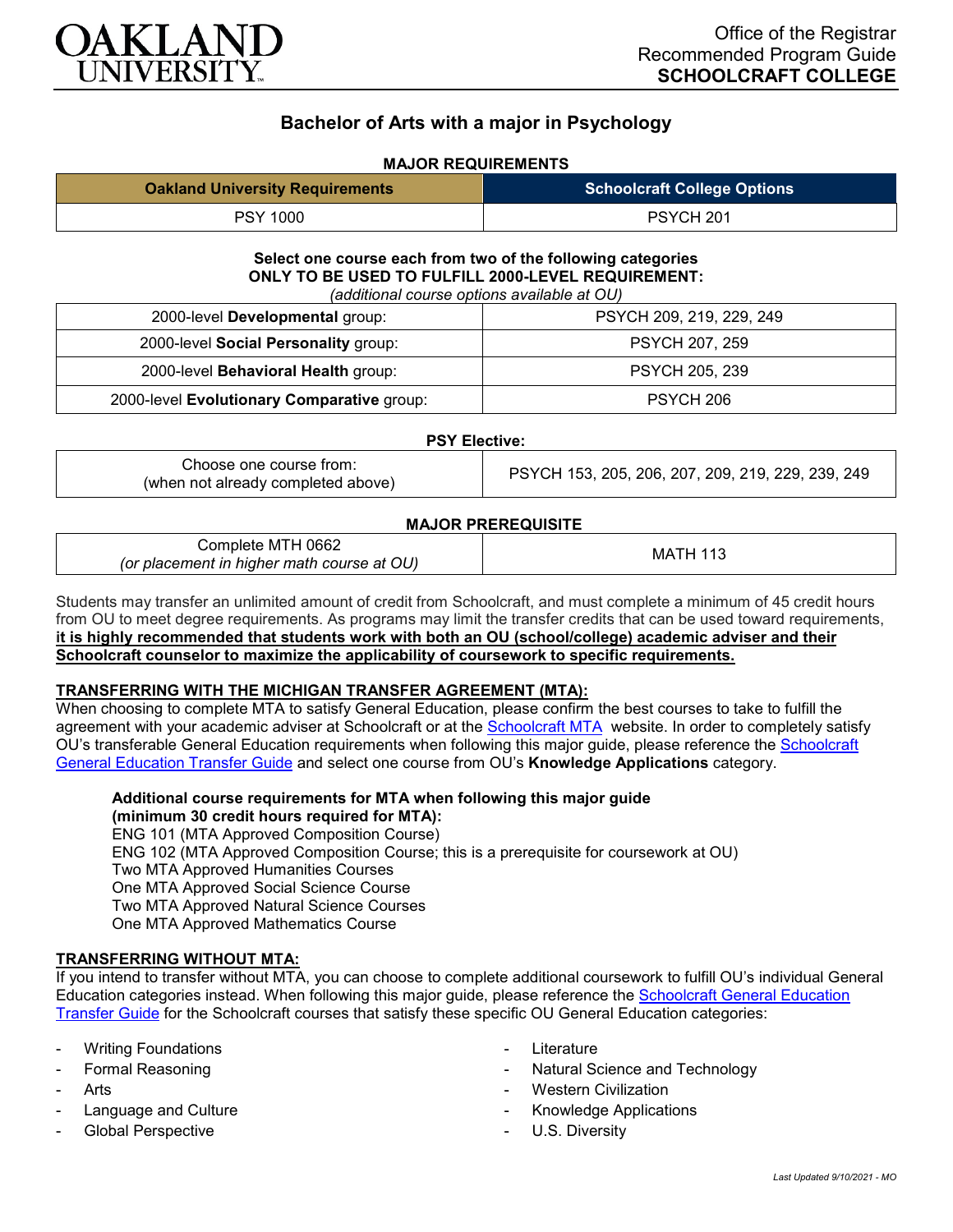

# **Bachelor of Arts with a major in Psychology**

## **MAJOR REQUIREMENTS**

| <b>Oakland University Requirements</b> | <b>Schoolcraft College Options</b> |
|----------------------------------------|------------------------------------|
| <b>PSY 1000</b>                        | PSYCH <sub>201</sub>               |

## **Select one course each from two of the following categories ONLY TO BE USED TO FULFILL 2000-LEVEL REQUIREMENT:**

|  |  |  |  | (additional course options available at OU) |  |  |
|--|--|--|--|---------------------------------------------|--|--|
|--|--|--|--|---------------------------------------------|--|--|

| 2000-level Developmental group:            | PSYCH 209, 219, 229, 249 |
|--------------------------------------------|--------------------------|
| 2000-level Social Personality group:       | <b>PSYCH 207, 259</b>    |
| 2000-level Behavioral Health group:        | <b>PSYCH 205, 239</b>    |
| 2000-level Evolutionary Comparative group: | PSYCH 206                |

### **PSY Elective:**

| Choose one course from:            |  |
|------------------------------------|--|
| (when not already completed above) |  |

PSYCH 153, 205, 206, 207, 209, 219, 229, 239, 249

## **MAJOR PREREQUISITE**

| Complete MTH 0662                          | МA<br>н. |
|--------------------------------------------|----------|
| (or placement in higher math course at OU) |          |

Students may transfer an unlimited amount of credit from Schoolcraft, and must complete a minimum of 45 credit hours from OU to meet degree requirements. As programs may limit the transfer credits that can be used toward requirements, **it is highly recommended that students work with both an OU (school/college) academic adviser and their Schoolcraft counselor to maximize the applicability of coursework to specific requirements.**

### **TRANSFERRING WITH THE MICHIGAN TRANSFER AGREEMENT (MTA):**

When choosing to complete MTA to satisfy General Education, please confirm the best courses to take to fulfill the agreement with your academic adviser at Schoolcraft or at the [Schoolcraft MTA](https://schoolcraft.edu/academics/michigan-transfer-agreement) website. In order to completely satisfy OU's transferable General Education requirements when following this major guide, please reference the Schoolcraft [General Education Transfer Guide](https://www.oakland.edu/Assets/Oakland/program-guides/schoolcraft-college/university-general-education-requirements/Schoolcraft%20Gen%20Ed.pdf) and select one course from OU's **Knowledge Applications** category.

**Additional course requirements for MTA when following this major guide (minimum 30 credit hours required for MTA):**

ENG 101 (MTA Approved Composition Course) ENG 102 (MTA Approved Composition Course; this is a prerequisite for coursework at OU) Two MTA Approved Humanities Courses One MTA Approved Social Science Course Two MTA Approved Natural Science Courses One MTA Approved Mathematics Course

## **TRANSFERRING WITHOUT MTA:**

If you intend to transfer without MTA, you can choose to complete additional coursework to fulfill OU's individual General Education categories instead. When following this major guide, please reference the [Schoolcraft General Education](https://www.oakland.edu/Assets/Oakland/program-guides/schoolcraft-college/university-general-education-requirements/Schoolcraft%20Gen%20Ed.pdf)  [Transfer Guide](https://www.oakland.edu/Assets/Oakland/program-guides/schoolcraft-college/university-general-education-requirements/Schoolcraft%20Gen%20Ed.pdf) for the Schoolcraft courses that satisfy these specific OU General Education categories:

- **Writing Foundations**
- Formal Reasoning
- Arts
- Language and Culture
- Global Perspective
- Literature
- Natural Science and Technology
- **Western Civilization**
- Knowledge Applications
- U.S. Diversity